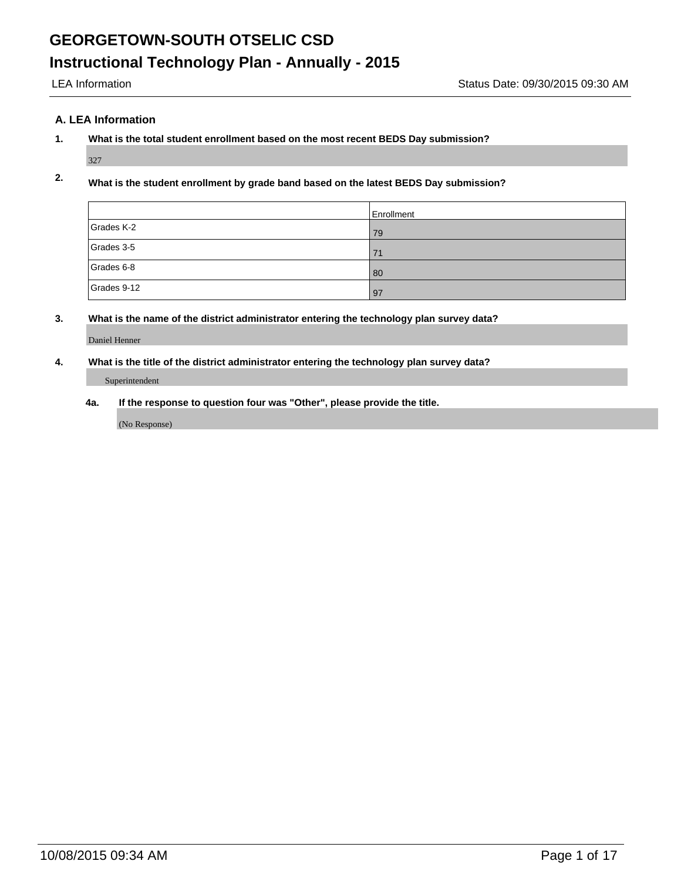## **A. LEA Information**

# **1. What is the total student enrollment based on the most recent BEDS Day submission?**

327

# **2. What is the student enrollment by grade band based on the latest BEDS Day submission?**

|             | Enrollment |
|-------------|------------|
| Grades K-2  | 79         |
| Grades 3-5  | 71         |
| Grades 6-8  | 80         |
| Grades 9-12 | 97         |

## **3. What is the name of the district administrator entering the technology plan survey data?**

Daniel Henner

### **4. What is the title of the district administrator entering the technology plan survey data?**

#### Superintendent

**4a. If the response to question four was "Other", please provide the title.**

(No Response)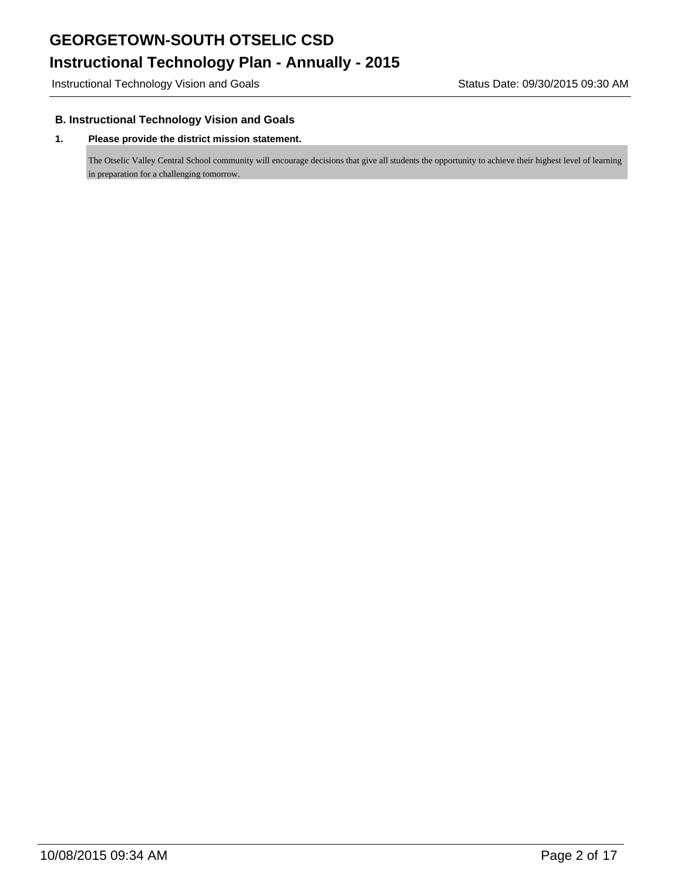Instructional Technology Vision and Goals **Status Date: 09/30/2015 09:30 AM** 

## **B. Instructional Technology Vision and Goals**

#### **1. Please provide the district mission statement.**

The Otselic Valley Central School community will encourage decisions that give all students the opportunity to achieve their highest level of learning in preparation for a challenging tomorrow.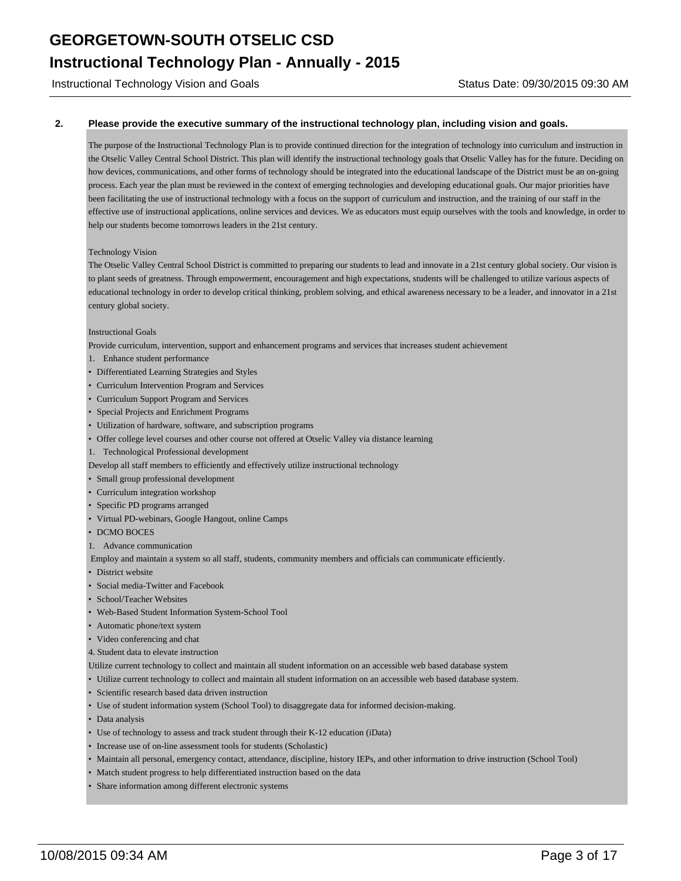Instructional Technology Vision and Goals **Status Date: 09/30/2015 09:30 AM** 

#### **2. Please provide the executive summary of the instructional technology plan, including vision and goals.**

The purpose of the Instructional Technology Plan is to provide continued direction for the integration of technology into curriculum and instruction in the Otselic Valley Central School District. This plan will identify the instructional technology goals that Otselic Valley has for the future. Deciding on how devices, communications, and other forms of technology should be integrated into the educational landscape of the District must be an on-going process. Each year the plan must be reviewed in the context of emerging technologies and developing educational goals. Our major priorities have been facilitating the use of instructional technology with a focus on the support of curriculum and instruction, and the training of our staff in the effective use of instructional applications, online services and devices. We as educators must equip ourselves with the tools and knowledge, in order to help our students become tomorrows leaders in the 21st century.

#### Technology Vision

The Otselic Valley Central School District is committed to preparing our students to lead and innovate in a 21st century global society. Our vision is to plant seeds of greatness. Through empowerment, encouragement and high expectations, students will be challenged to utilize various aspects of educational technology in order to develop critical thinking, problem solving, and ethical awareness necessary to be a leader, and innovator in a 21st century global society.

#### Instructional Goals

Provide curriculum, intervention, support and enhancement programs and services that increases student achievement

- 1. Enhance student performance
- Differentiated Learning Strategies and Styles
- Curriculum Intervention Program and Services
- Curriculum Support Program and Services
- Special Projects and Enrichment Programs
- Utilization of hardware, software, and subscription programs
- Offer college level courses and other course not offered at Otselic Valley via distance learning
- 1. Technological Professional development

Develop all staff members to efficiently and effectively utilize instructional technology

- Small group professional development
- Curriculum integration workshop
- Specific PD programs arranged
- Virtual PD-webinars, Google Hangout, online Camps
- DCMO BOCES
- 1. Advance communication

Employ and maintain a system so all staff, students, community members and officials can communicate efficiently.

- District website
- Social media-Twitter and Facebook
- School/Teacher Websites
- Web-Based Student Information System-School Tool
- Automatic phone/text system
- Video conferencing and chat
- 4. Student data to elevate instruction
- Utilize current technology to collect and maintain all student information on an accessible web based database system
- Utilize current technology to collect and maintain all student information on an accessible web based database system.
- Scientific research based data driven instruction
- Use of student information system (School Tool) to disaggregate data for informed decision-making.
- Data analysis
- Use of technology to assess and track student through their K-12 education (iData)
- Increase use of on-line assessment tools for students (Scholastic)
- Maintain all personal, emergency contact, attendance, discipline, history IEPs, and other information to drive instruction (School Tool)
- Match student progress to help differentiated instruction based on the data
- Share information among different electronic systems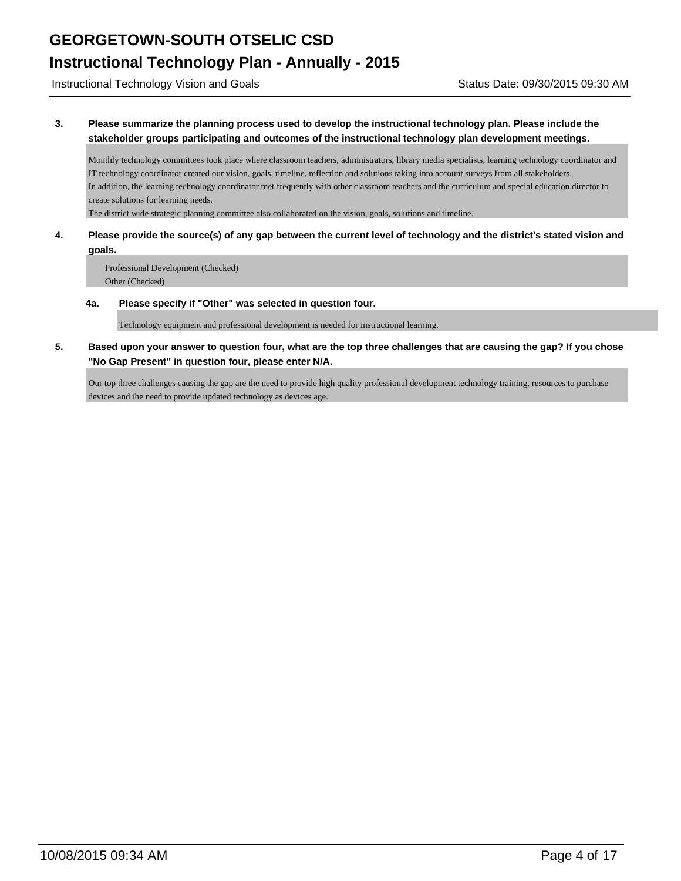Instructional Technology Vision and Goals **Status Date: 09/30/2015 09:30 AM** 

**3. Please summarize the planning process used to develop the instructional technology plan. Please include the stakeholder groups participating and outcomes of the instructional technology plan development meetings.**

Monthly technology committees took place where classroom teachers, administrators, library media specialists, learning technology coordinator and IT technology coordinator created our vision, goals, timeline, reflection and solutions taking into account surveys from all stakeholders. In addition, the learning technology coordinator met frequently with other classroom teachers and the curriculum and special education director to create solutions for learning needs.

The district wide strategic planning committee also collaborated on the vision, goals, solutions and timeline.

**4. Please provide the source(s) of any gap between the current level of technology and the district's stated vision and goals.**

Professional Development (Checked) Other (Checked)

**4a. Please specify if "Other" was selected in question four.**

Technology equipment and professional development is needed for instructional learning.

**5. Based upon your answer to question four, what are the top three challenges that are causing the gap? If you chose "No Gap Present" in question four, please enter N/A.**

Our top three challenges causing the gap are the need to provide high quality professional development technology training, resources to purchase devices and the need to provide updated technology as devices age.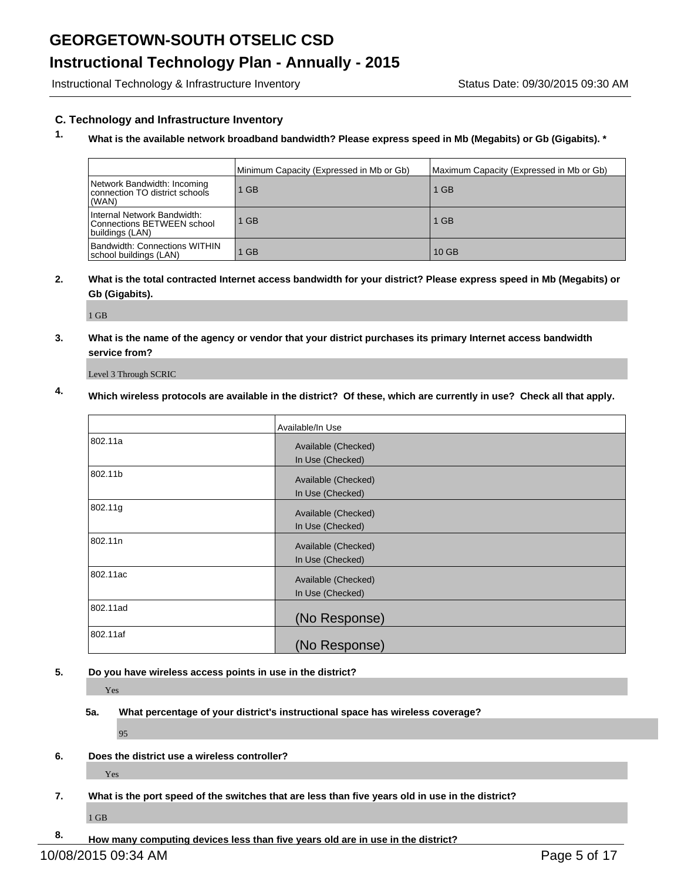# **Instructional Technology Plan - Annually - 2015**

Instructional Technology & Infrastructure Inventory **Status Date: 09/30/2015 09:30 AM** 

### **C. Technology and Infrastructure Inventory**

# **1. What is the available network broadband bandwidth? Please express speed in Mb (Megabits) or Gb (Gigabits). \***

|                                                                              | Minimum Capacity (Expressed in Mb or Gb) | Maximum Capacity (Expressed in Mb or Gb) |
|------------------------------------------------------------------------------|------------------------------------------|------------------------------------------|
| Network Bandwidth: Incoming<br>connection TO district schools<br>(WAN)       | $1$ GB                                   | <b>GB</b>                                |
| Internal Network Bandwidth:<br>Connections BETWEEN school<br>buildings (LAN) | $1$ GB                                   | $1$ GB                                   |
| <b>Bandwidth: Connections WITHIN</b><br>school buildings (LAN)               | $1$ GB                                   | 10 GB                                    |

### **2. What is the total contracted Internet access bandwidth for your district? Please express speed in Mb (Megabits) or Gb (Gigabits).**

1 GB

**3. What is the name of the agency or vendor that your district purchases its primary Internet access bandwidth service from?**

Level 3 Through SCRIC

# **4. Which wireless protocols are available in the district? Of these, which are currently in use? Check all that apply.**

|          | Available/In Use                        |
|----------|-----------------------------------------|
| 802.11a  | Available (Checked)<br>In Use (Checked) |
| 802.11b  | Available (Checked)<br>In Use (Checked) |
| 802.11g  | Available (Checked)<br>In Use (Checked) |
| 802.11n  | Available (Checked)<br>In Use (Checked) |
| 802.11ac | Available (Checked)<br>In Use (Checked) |
| 802.11ad | (No Response)                           |
| 802.11af | (No Response)                           |

#### **5. Do you have wireless access points in use in the district?**

Yes

#### **5a. What percentage of your district's instructional space has wireless coverage?**

95

**6. Does the district use a wireless controller?**

Yes

**7. What is the port speed of the switches that are less than five years old in use in the district?**

1 GB

**8. How many computing devices less than five years old are in use in the district?**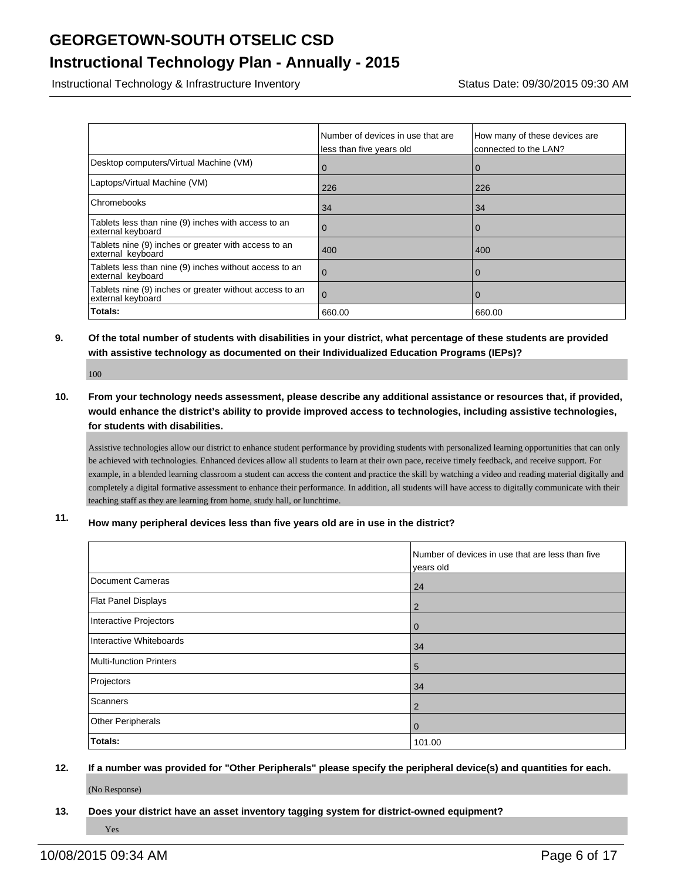# **Instructional Technology Plan - Annually - 2015**

Instructional Technology & Infrastructure Inventory **Status Date: 09/30/2015 09:30 AM** 

|                                                                              | Number of devices in use that are<br>less than five years old | How many of these devices are<br>connected to the LAN? |
|------------------------------------------------------------------------------|---------------------------------------------------------------|--------------------------------------------------------|
| Desktop computers/Virtual Machine (VM)                                       |                                                               | 0                                                      |
| Laptops/Virtual Machine (VM)                                                 | 226                                                           | 226                                                    |
| Chromebooks                                                                  | 34                                                            | 34                                                     |
| Tablets less than nine (9) inches with access to an<br>external keyboard     | Û                                                             | $\mathbf 0$                                            |
| Tablets nine (9) inches or greater with access to an<br>external keyboard    | 400                                                           | 400                                                    |
| Tablets less than nine (9) inches without access to an<br>external keyboard  | υ                                                             | $\Omega$                                               |
| Tablets nine (9) inches or greater without access to an<br>external keyboard | 0                                                             | 0                                                      |
| Totals:                                                                      | 660.00                                                        | 660.00                                                 |

## **9. Of the total number of students with disabilities in your district, what percentage of these students are provided with assistive technology as documented on their Individualized Education Programs (IEPs)?**

100

**10. From your technology needs assessment, please describe any additional assistance or resources that, if provided, would enhance the district's ability to provide improved access to technologies, including assistive technologies, for students with disabilities.**

Assistive technologies allow our district to enhance student performance by providing students with personalized learning opportunities that can only be achieved with technologies. Enhanced devices allow all students to learn at their own pace, receive timely feedback, and receive support. For example, in a blended learning classroom a student can access the content and practice the skill by watching a video and reading material digitally and completely a digital formative assessment to enhance their performance. In addition, all students will have access to digitally communicate with their teaching staff as they are learning from home, study hall, or lunchtime.

**11. How many peripheral devices less than five years old are in use in the district?**

|                                | Number of devices in use that are less than five<br>years old |
|--------------------------------|---------------------------------------------------------------|
| <b>Document Cameras</b>        | 24                                                            |
| <b>Flat Panel Displays</b>     | 2                                                             |
| Interactive Projectors         | $\mathbf 0$                                                   |
| Interactive Whiteboards        | 34                                                            |
| <b>Multi-function Printers</b> | 5                                                             |
| Projectors                     | 34                                                            |
| Scanners                       | $\overline{2}$                                                |
| <b>Other Peripherals</b>       | $\mathbf 0$                                                   |
| Totals:                        | 101.00                                                        |

# **12. If a number was provided for "Other Peripherals" please specify the peripheral device(s) and quantities for each.** (No Response)

**13. Does your district have an asset inventory tagging system for district-owned equipment?** Yes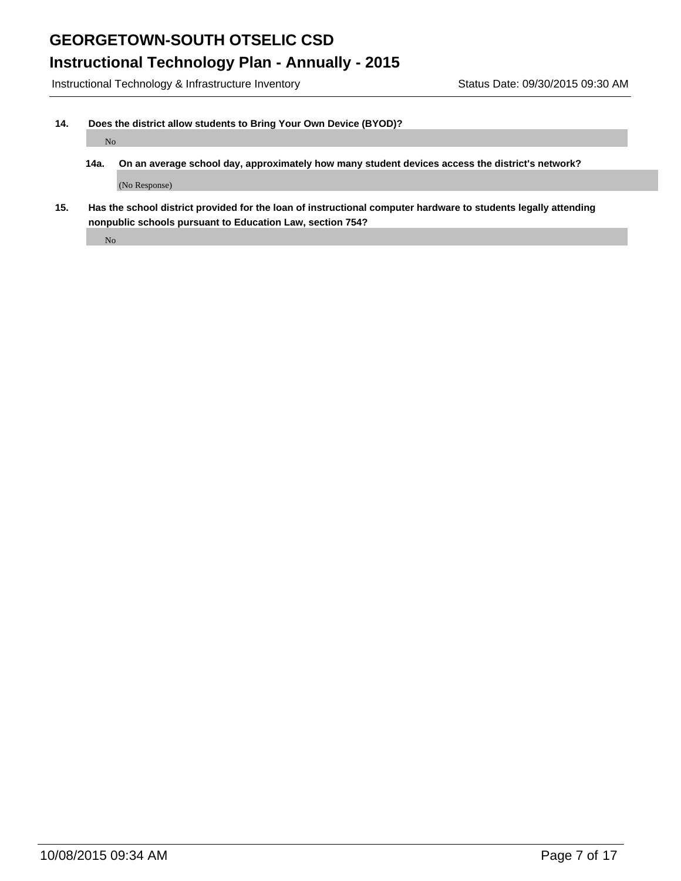# **Instructional Technology Plan - Annually - 2015**

Instructional Technology & Infrastructure Inventory Status Date: 09/30/2015 09:30 AM

### **14. Does the district allow students to Bring Your Own Device (BYOD)?**

No

- **14a. On an average school day, approximately how many student devices access the district's network?** (No Response)
- **15. Has the school district provided for the loan of instructional computer hardware to students legally attending nonpublic schools pursuant to Education Law, section 754?**

No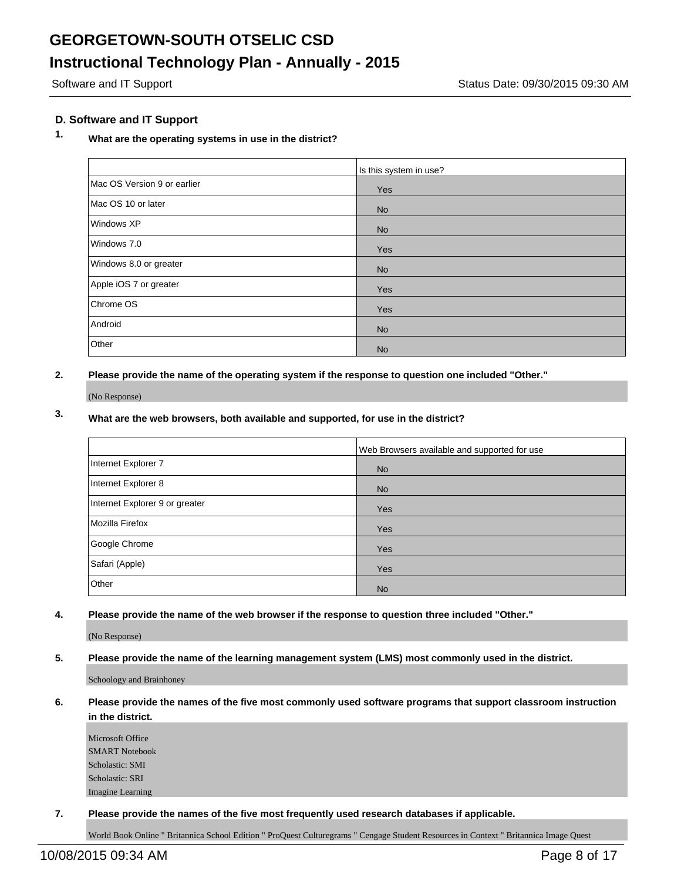## **D. Software and IT Support**

# **1. What are the operating systems in use in the district?**

|                             | Is this system in use? |
|-----------------------------|------------------------|
| Mac OS Version 9 or earlier | Yes                    |
| Mac OS 10 or later          | <b>No</b>              |
| Windows XP                  | <b>No</b>              |
| Windows 7.0                 | Yes                    |
| Windows 8.0 or greater      | <b>No</b>              |
| Apple iOS 7 or greater      | Yes                    |
| Chrome OS                   | Yes                    |
| Android                     | <b>No</b>              |
| Other                       | <b>No</b>              |

**2. Please provide the name of the operating system if the response to question one included "Other."**

(No Response)

# **3. What are the web browsers, both available and supported, for use in the district?**

|                                | Web Browsers available and supported for use |
|--------------------------------|----------------------------------------------|
| Internet Explorer 7            | <b>No</b>                                    |
| Internet Explorer 8            | <b>No</b>                                    |
| Internet Explorer 9 or greater | Yes                                          |
| Mozilla Firefox                | Yes                                          |
| Google Chrome                  | Yes                                          |
| Safari (Apple)                 | Yes                                          |
| Other                          | <b>No</b>                                    |

**4. Please provide the name of the web browser if the response to question three included "Other."**

(No Response)

#### **5. Please provide the name of the learning management system (LMS) most commonly used in the district.**

Schoology and Brainhoney

#### **6. Please provide the names of the five most commonly used software programs that support classroom instruction in the district.**

Microsoft Office SMART Notebook Scholastic: SMI Scholastic: SRI Imagine Learning

**7. Please provide the names of the five most frequently used research databases if applicable.**

World Book Online " Britannica School Edition " ProQuest Culturegrams " Cengage Student Resources in Context " Britannica Image Quest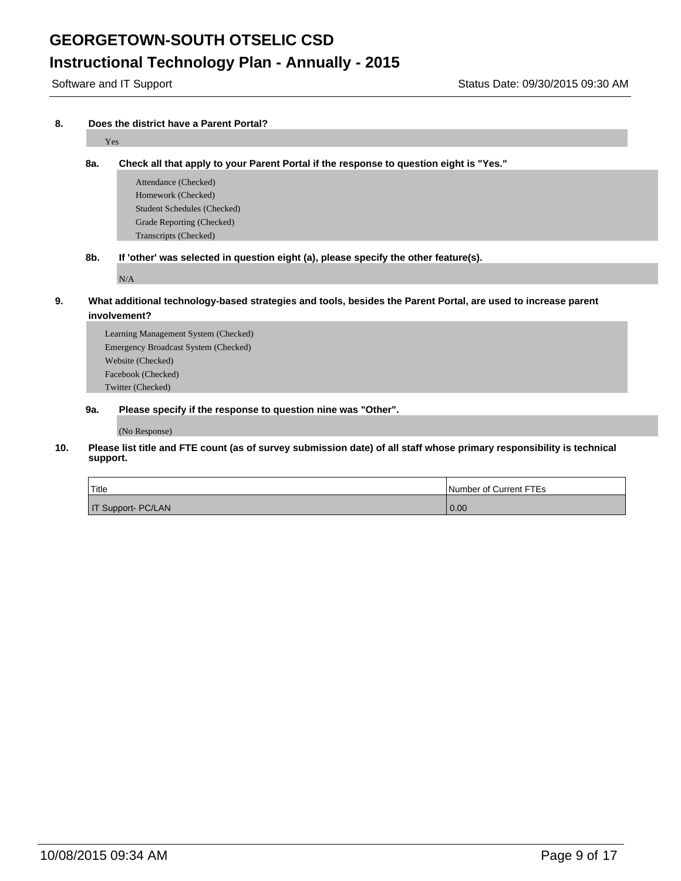# **Instructional Technology Plan - Annually - 2015**

#### **8. Does the district have a Parent Portal?**

# Yes **8a. Check all that apply to your Parent Portal if the response to question eight is "Yes."** Attendance (Checked)

- Homework (Checked) Student Schedules (Checked) Grade Reporting (Checked) Transcripts (Checked)
- **8b. If 'other' was selected in question eight (a), please specify the other feature(s).**

N/A

- **9. What additional technology-based strategies and tools, besides the Parent Portal, are used to increase parent involvement?**
	- Learning Management System (Checked) Emergency Broadcast System (Checked) Website (Checked) Facebook (Checked) Twitter (Checked)

#### **9a. Please specify if the response to question nine was "Other".**

(No Response)

**10. Please list title and FTE count (as of survey submission date) of all staff whose primary responsibility is technical support.**

| Title              | Number of Current FTEs |
|--------------------|------------------------|
| IT Support- PC/LAN | 0.00                   |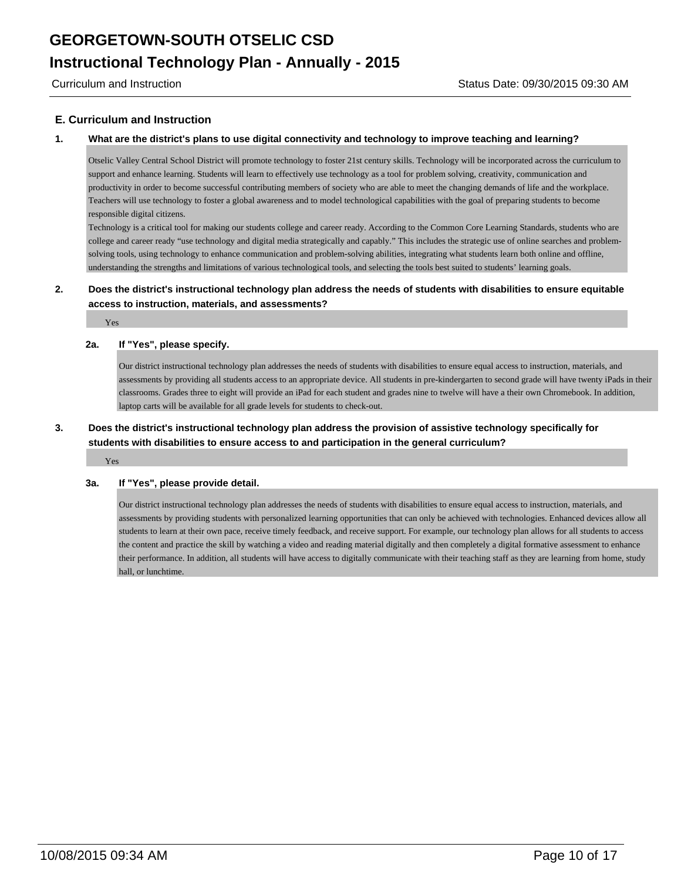### **E. Curriculum and Instruction**

#### **1. What are the district's plans to use digital connectivity and technology to improve teaching and learning?**

Otselic Valley Central School District will promote technology to foster 21st century skills. Technology will be incorporated across the curriculum to support and enhance learning. Students will learn to effectively use technology as a tool for problem solving, creativity, communication and productivity in order to become successful contributing members of society who are able to meet the changing demands of life and the workplace. Teachers will use technology to foster a global awareness and to model technological capabilities with the goal of preparing students to become responsible digital citizens.

Technology is a critical tool for making our students college and career ready. According to the Common Core Learning Standards, students who are college and career ready "use technology and digital media strategically and capably." This includes the strategic use of online searches and problemsolving tools, using technology to enhance communication and problem-solving abilities, integrating what students learn both online and offline, understanding the strengths and limitations of various technological tools, and selecting the tools best suited to students' learning goals.

## **2. Does the district's instructional technology plan address the needs of students with disabilities to ensure equitable access to instruction, materials, and assessments?**

Yes

#### **2a. If "Yes", please specify.**

Our district instructional technology plan addresses the needs of students with disabilities to ensure equal access to instruction, materials, and assessments by providing all students access to an appropriate device. All students in pre-kindergarten to second grade will have twenty iPads in their classrooms. Grades three to eight will provide an iPad for each student and grades nine to twelve will have a their own Chromebook. In addition, laptop carts will be available for all grade levels for students to check-out.

## **3. Does the district's instructional technology plan address the provision of assistive technology specifically for students with disabilities to ensure access to and participation in the general curriculum?**

Yes

#### **3a. If "Yes", please provide detail.**

Our district instructional technology plan addresses the needs of students with disabilities to ensure equal access to instruction, materials, and assessments by providing students with personalized learning opportunities that can only be achieved with technologies. Enhanced devices allow all students to learn at their own pace, receive timely feedback, and receive support. For example, our technology plan allows for all students to access the content and practice the skill by watching a video and reading material digitally and then completely a digital formative assessment to enhance their performance. In addition, all students will have access to digitally communicate with their teaching staff as they are learning from home, study hall, or lunchtime.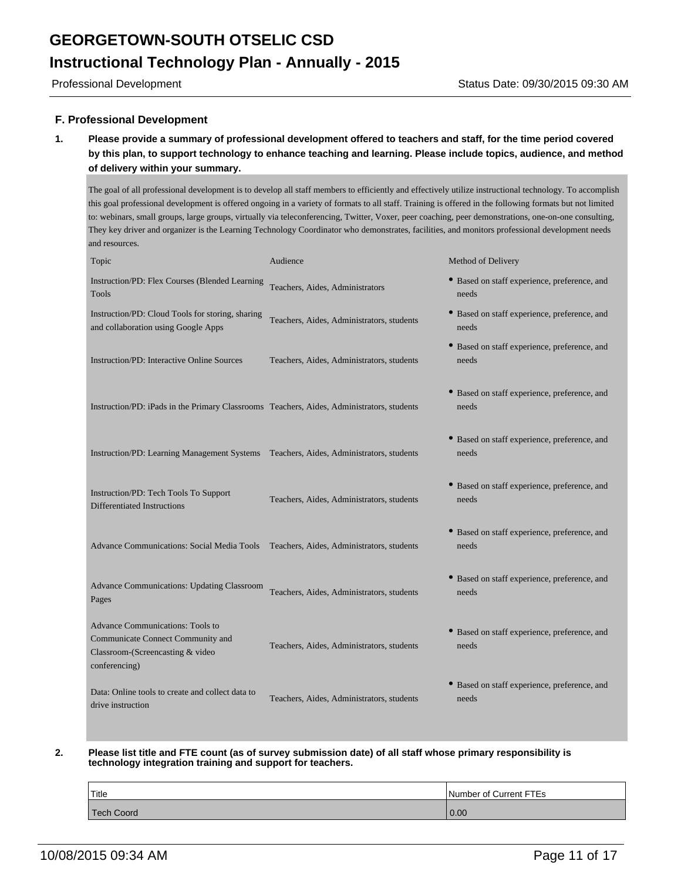### **F. Professional Development**

**1. Please provide a summary of professional development offered to teachers and staff, for the time period covered by this plan, to support technology to enhance teaching and learning. Please include topics, audience, and method of delivery within your summary.**

The goal of all professional development is to develop all staff members to efficiently and effectively utilize instructional technology. To accomplish this goal professional development is offered ongoing in a variety of formats to all staff. Training is offered in the following formats but not limited to: webinars, small groups, large groups, virtually via teleconferencing, Twitter, Voxer, peer coaching, peer demonstrations, one-on-one consulting, They key driver and organizer is the Learning Technology Coordinator who demonstrates, facilities, and monitors professional development needs and resources.

| Topic                                                                                                                             | Audience                                  | Method of Delivery                                    |
|-----------------------------------------------------------------------------------------------------------------------------------|-------------------------------------------|-------------------------------------------------------|
| Instruction/PD: Flex Courses (Blended Learning<br><b>Tools</b>                                                                    | Teachers, Aides, Administrators           | • Based on staff experience, preference, and<br>needs |
| Instruction/PD: Cloud Tools for storing, sharing<br>and collaboration using Google Apps                                           | Teachers, Aides, Administrators, students | • Based on staff experience, preference, and<br>needs |
| <b>Instruction/PD: Interactive Online Sources</b>                                                                                 | Teachers, Aides, Administrators, students | • Based on staff experience, preference, and<br>needs |
| Instruction/PD: iPads in the Primary Classrooms Teachers, Aides, Administrators, students                                         |                                           | • Based on staff experience, preference, and<br>needs |
| Instruction/PD: Learning Management Systems Teachers, Aides, Administrators, students                                             |                                           | • Based on staff experience, preference, and<br>needs |
| Instruction/PD: Tech Tools To Support<br>Differentiated Instructions                                                              | Teachers, Aides, Administrators, students | • Based on staff experience, preference, and<br>needs |
| <b>Advance Communications: Social Media Tools</b>                                                                                 | Teachers, Aides, Administrators, students | • Based on staff experience, preference, and<br>needs |
| <b>Advance Communications: Updating Classroom</b><br>Pages                                                                        | Teachers, Aides, Administrators, students | • Based on staff experience, preference, and<br>needs |
| <b>Advance Communications: Tools to</b><br>Communicate Connect Community and<br>Classroom-(Screencasting & video<br>conferencing) | Teachers, Aides, Administrators, students | • Based on staff experience, preference, and<br>needs |
| Data: Online tools to create and collect data to<br>drive instruction                                                             | Teachers, Aides, Administrators, students | • Based on staff experience, preference, and<br>needs |

#### **2. Please list title and FTE count (as of survey submission date) of all staff whose primary responsibility is technology integration training and support for teachers.**

| <sup>1</sup> Title | Number of Current FTEs |
|--------------------|------------------------|
| Tech Coord         | 0.00                   |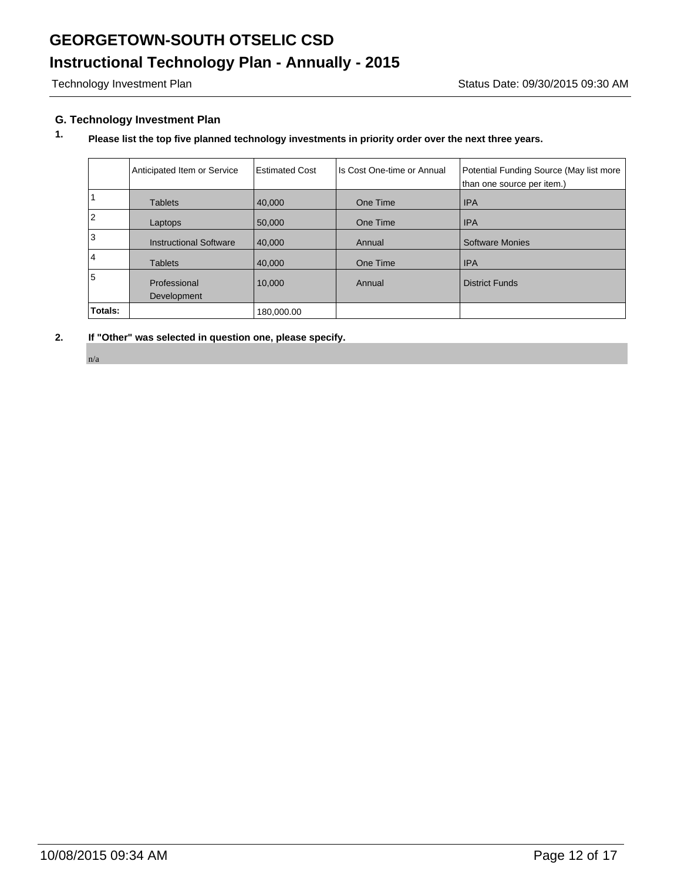# **Instructional Technology Plan - Annually - 2015**

## **G. Technology Investment Plan**

# **1. Please list the top five planned technology investments in priority order over the next three years.**

|                | Anticipated Item or Service   | <b>Estimated Cost</b> | Is Cost One-time or Annual | Potential Funding Source (May list more<br>than one source per item.) |
|----------------|-------------------------------|-----------------------|----------------------------|-----------------------------------------------------------------------|
|                | <b>Tablets</b>                | 40,000                | One Time                   | <b>IPA</b>                                                            |
| $\overline{2}$ | Laptops                       | 50,000                | One Time                   | <b>IPA</b>                                                            |
| 3              | <b>Instructional Software</b> | 40,000                | Annual                     | <b>Software Monies</b>                                                |
| $\overline{4}$ | <b>Tablets</b>                | 40,000                | One Time                   | <b>IPA</b>                                                            |
| 5              | Professional                  | 10,000                | Annual                     | <b>District Funds</b>                                                 |
|                | Development                   |                       |                            |                                                                       |
| Totals:        |                               | 180,000.00            |                            |                                                                       |

**2. If "Other" was selected in question one, please specify.**

n/a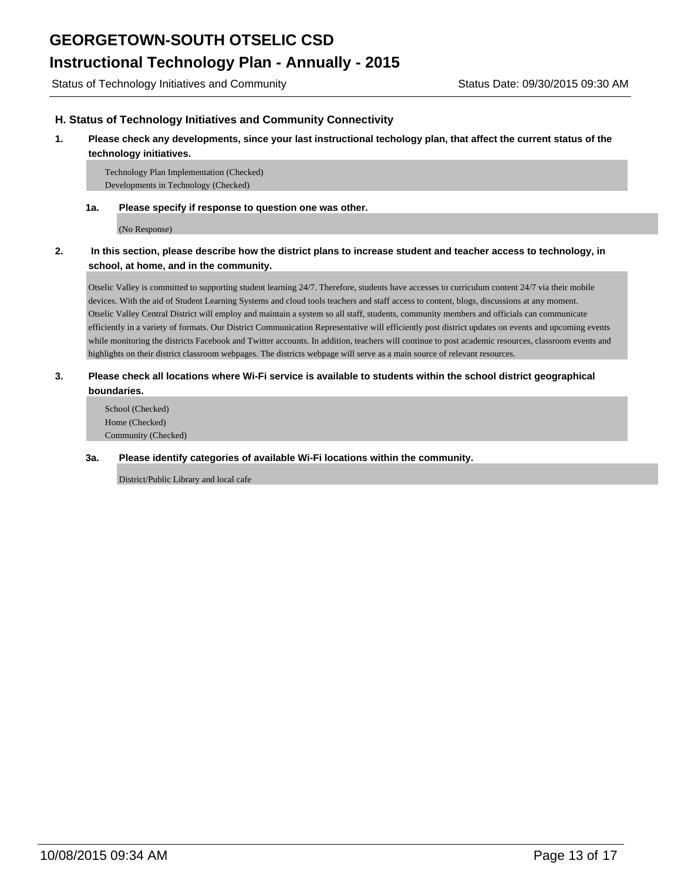### **H. Status of Technology Initiatives and Community Connectivity**

#### **1. Please check any developments, since your last instructional techology plan, that affect the current status of the technology initiatives.**

Technology Plan Implementation (Checked) Developments in Technology (Checked)

#### **1a. Please specify if response to question one was other.**

(No Response)

## **2. In this section, please describe how the district plans to increase student and teacher access to technology, in school, at home, and in the community.**

Otselic Valley is committed to supporting student learning 24/7. Therefore, students have accesses to curriculum content 24/7 via their mobile devices. With the aid of Student Learning Systems and cloud tools teachers and staff access to content, blogs, discussions at any moment. Otselic Valley Central District will employ and maintain a system so all staff, students, community members and officials can communicate efficiently in a variety of formats. Our District Communication Representative will efficiently post district updates on events and upcoming events while monitoring the district s Facebook and Twitter accounts. In addition, teachers will continue to post academic resources, classroom events and highlights on their district classroom webpages. The district s webpage will serve as a main source of relevant resources.

### **3. Please check all locations where Wi-Fi service is available to students within the school district geographical boundaries.**

School (Checked) Home (Checked) Community (Checked)

#### **3a. Please identify categories of available Wi-Fi locations within the community.**

District/Public Library and local cafe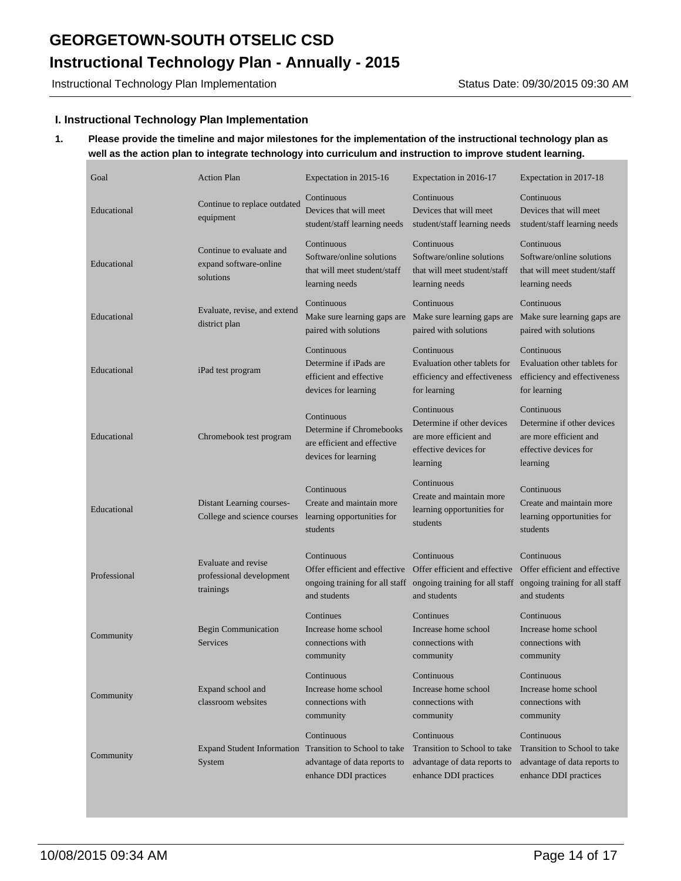Instructional Technology Plan Implementation Status Date: 09/30/2015 09:30 AM

### **I. Instructional Technology Plan Implementation**

## **1. Please provide the timeline and major milestones for the implementation of the instructional technology plan as well as the action plan to integrate technology into curriculum and instruction to improve student learning.**

| Goal         | <b>Action Plan</b>                                                | Expectation in 2015-16                                                                        | Expectation in 2016-17                                                                                                       | Expectation in 2017-18                                                                                  |
|--------------|-------------------------------------------------------------------|-----------------------------------------------------------------------------------------------|------------------------------------------------------------------------------------------------------------------------------|---------------------------------------------------------------------------------------------------------|
| Educational  | Continue to replace outdated<br>equipment                         | Continuous<br>Devices that will meet<br>student/staff learning needs                          | Continuous<br>Devices that will meet<br>student/staff learning needs                                                         | Continuous<br>Devices that will meet<br>student/staff learning needs                                    |
| Educational  | Continue to evaluate and<br>expand software-online<br>solutions   | Continuous<br>Software/online solutions<br>that will meet student/staff<br>learning needs     | Continuous<br>Software/online solutions<br>that will meet student/staff<br>learning needs                                    | Continuous<br>Software/online solutions<br>that will meet student/staff<br>learning needs               |
| Educational  | Evaluate, revise, and extend<br>district plan                     | Continuous<br>Make sure learning gaps are<br>paired with solutions                            | Continuous<br>Make sure learning gaps are<br>paired with solutions                                                           | Continuous<br>Make sure learning gaps are<br>paired with solutions                                      |
| Educational  | iPad test program                                                 | Continuous<br>Determine if iPads are<br>efficient and effective<br>devices for learning       | Continuous<br>Evaluation other tablets for<br>efficiency and effectiveness<br>for learning                                   | Continuous<br>Evaluation other tablets for<br>efficiency and effectiveness<br>for learning              |
| Educational  | Chromebook test program                                           | Continuous<br>Determine if Chromebooks<br>are efficient and effective<br>devices for learning | Continuous<br>Determine if other devices<br>are more efficient and<br>effective devices for<br>learning                      | Continuous<br>Determine if other devices<br>are more efficient and<br>effective devices for<br>learning |
| Educational  | Distant Learning courses-<br>College and science courses          | Continuous<br>Create and maintain more<br>learning opportunities for<br>students              | Continuous<br>Create and maintain more<br>learning opportunities for<br>students                                             | Continuous<br>Create and maintain more<br>learning opportunities for<br>students                        |
| Professional | Evaluate and revise<br>professional development<br>trainings      | Continuous<br>Offer efficient and effective<br>and students                                   | Continuous<br>Offer efficient and effective<br>ongoing training for all staff ongoing training for all staff<br>and students | Continuous<br>Offer efficient and effective<br>ongoing training for all staff<br>and students           |
| Community    | Begin Communication<br><b>Services</b>                            | Continues<br>Increase home school<br>connections with<br>community                            | Continues<br>Increase home school<br>connections with<br>community                                                           | Continuous<br>Increase home school<br>connections with<br>community                                     |
| Community    | Expand school and<br>classroom websites                           | Continuous<br>Increase home school<br>connections with<br>community                           | Continuous<br>Increase home school<br>connections with<br>community                                                          | Continuous<br>Increase home school<br>connections with<br>community                                     |
| Community    | Expand Student Information Transition to School to take<br>System | Continuous<br>advantage of data reports to<br>enhance DDI practices                           | Continuous<br>Transition to School to take<br>advantage of data reports to<br>enhance DDI practices                          | Continuous<br>Transition to School to take<br>advantage of data reports to<br>enhance DDI practices     |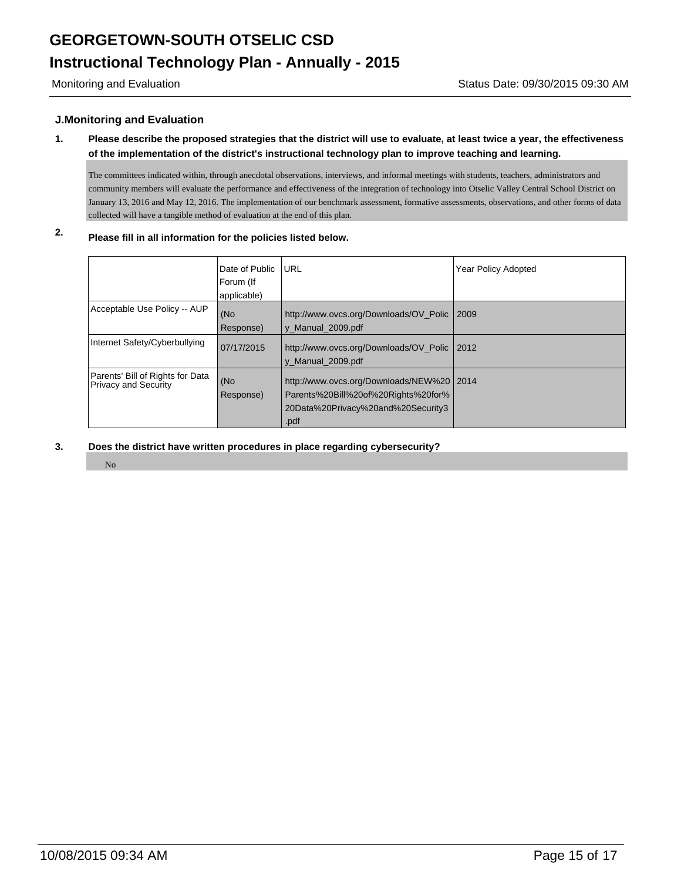### **J.Monitoring and Evaluation**

## **1. Please describe the proposed strategies that the district will use to evaluate, at least twice a year, the effectiveness of the implementation of the district's instructional technology plan to improve teaching and learning.**

The committees indicated within, through anecdotal observations, interviews, and informal meetings with students, teachers, administrators and community members will evaluate the performance and effectiveness of the integration of technology into Otselic Valley Central School District on January 13, 2016 and May 12, 2016. The implementation of our benchmark assessment, formative assessments, observations, and other forms of data collected will have a tangible method of evaluation at the end of this plan.

# **2. Please fill in all information for the policies listed below.**

|                                                                 | Date of Public<br>Forum (If<br>applicable) | <b>IURL</b>                                                                                                                      | <b>Year Policy Adopted</b> |
|-----------------------------------------------------------------|--------------------------------------------|----------------------------------------------------------------------------------------------------------------------------------|----------------------------|
| Acceptable Use Policy -- AUP                                    | (No<br>Response)                           | http://www.ovcs.org/Downloads/OV Polic<br>y Manual 2009.pdf                                                                      | 12009                      |
| Internet Safety/Cyberbullying                                   | 07/17/2015                                 | http://www.ovcs.org/Downloads/OV Polic<br>y Manual 2009.pdf                                                                      | $\frac{12012}{ }$          |
| Parents' Bill of Rights for Data<br><b>Privacy and Security</b> | (No<br>Response)                           | http://www.ovcs.org/Downloads/NEW%20   2014<br>Parents%20Bill%20of%20Rights%20for%<br>20Data%20Privacy%20and%20Security3<br>.pdf |                            |

- **3. Does the district have written procedures in place regarding cybersecurity?**
	- No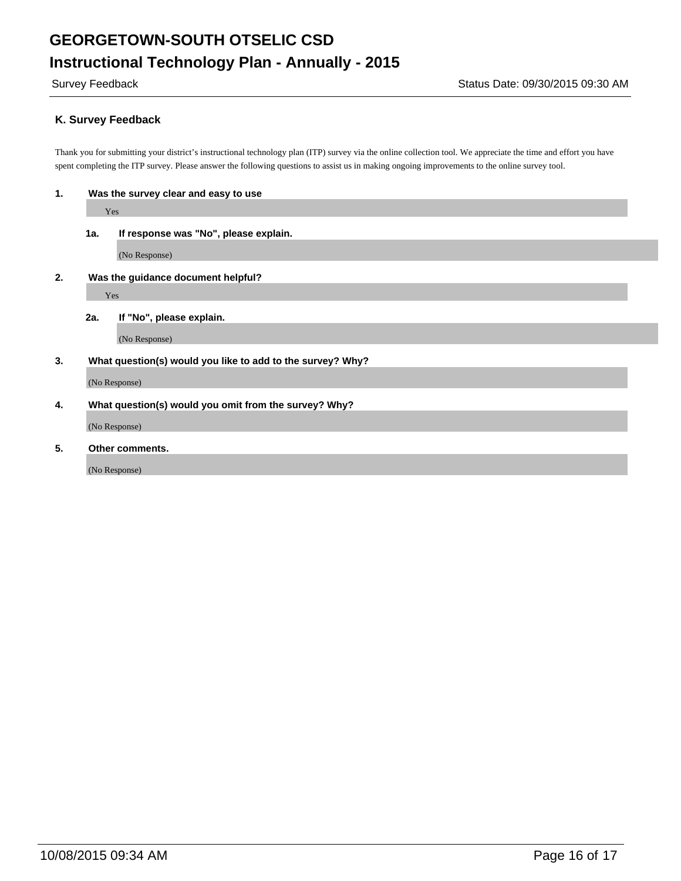## **K. Survey Feedback**

(No Response)

Thank you for submitting your district's instructional technology plan (ITP) survey via the online collection tool. We appreciate the time and effort you have spent completing the ITP survey. Please answer the following questions to assist us in making ongoing improvements to the online survey tool.

| 1.                                       | Was the survey clear and easy to use                       |                                       |  |  |  |
|------------------------------------------|------------------------------------------------------------|---------------------------------------|--|--|--|
|                                          |                                                            | Yes                                   |  |  |  |
|                                          | 1a.                                                        | If response was "No", please explain. |  |  |  |
|                                          |                                                            | (No Response)                         |  |  |  |
| Was the guidance document helpful?<br>2. |                                                            |                                       |  |  |  |
|                                          | Yes                                                        |                                       |  |  |  |
|                                          | 2a.                                                        | If "No", please explain.              |  |  |  |
|                                          |                                                            | (No Response)                         |  |  |  |
| 3.                                       | What question(s) would you like to add to the survey? Why? |                                       |  |  |  |
|                                          | (No Response)                                              |                                       |  |  |  |
| 4.                                       | What question(s) would you omit from the survey? Why?      |                                       |  |  |  |
|                                          | (No Response)                                              |                                       |  |  |  |
| 5.                                       |                                                            | Other comments.                       |  |  |  |
|                                          |                                                            |                                       |  |  |  |